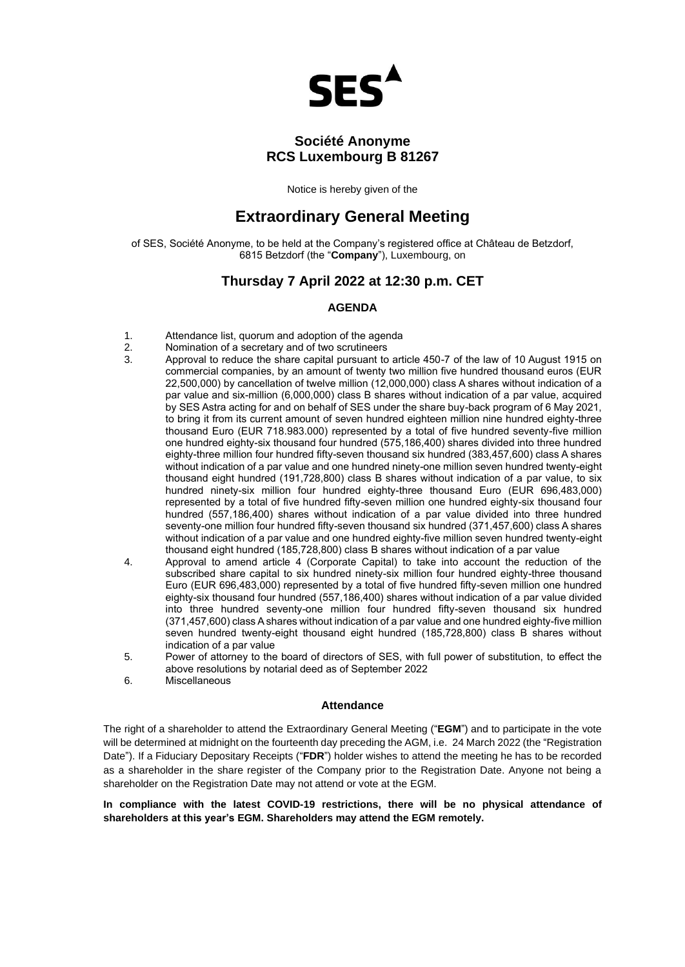

# **Société Anonyme RCS Luxembourg B 81267**

Notice is hereby given of the

# **Extraordinary General Meeting**

of SES, Société Anonyme, to be held at the Company's registered office at Château de Betzdorf, 6815 Betzdorf (the "**Company**"), Luxembourg, on

### **Thursday 7 April 2022 at 12:30 p.m. CET**

### **AGENDA**

- 1. Attendance list, quorum and adoption of the agenda<br>2. Nomination of a secretary and of two scrutineers
- 2. Nomination of a secretary and of two scrutineers<br>3. Approval to reduce the share capital pursuant to
- 3. Approval to reduce the share capital pursuant to article 450-7 of the law of 10 August 1915 on commercial companies, by an amount of twenty two million five hundred thousand euros (EUR 22,500,000) by cancellation of twelve million (12,000,000) class A shares without indication of a par value and six-million (6,000,000) class B shares without indication of a par value, acquired by SES Astra acting for and on behalf of SES under the share buy-back program of 6 May 2021, to bring it from its current amount of seven hundred eighteen million nine hundred eighty-three thousand Euro (EUR 718.983.000) represented by a total of five hundred seventy-five million one hundred eighty-six thousand four hundred (575,186,400) shares divided into three hundred eighty-three million four hundred fifty-seven thousand six hundred (383,457,600) class A shares without indication of a par value and one hundred ninety-one million seven hundred twenty-eight thousand eight hundred (191,728,800) class B shares without indication of a par value, to six hundred ninety-six million four hundred eighty-three thousand Euro (EUR 696,483,000) represented by a total of five hundred fifty-seven million one hundred eighty-six thousand four hundred (557,186,400) shares without indication of a par value divided into three hundred seventy-one million four hundred fifty-seven thousand six hundred (371,457,600) class A shares without indication of a par value and one hundred eighty-five million seven hundred twenty-eight thousand eight hundred (185,728,800) class B shares without indication of a par value
- 4. Approval to amend article 4 (Corporate Capital) to take into account the reduction of the subscribed share capital to six hundred ninety-six million four hundred eighty-three thousand Euro (EUR 696,483,000) represented by a total of five hundred fifty-seven million one hundred eighty-six thousand four hundred (557,186,400) shares without indication of a par value divided into three hundred seventy-one million four hundred fifty-seven thousand six hundred (371,457,600) class A shares without indication of a par value and one hundred eighty-five million seven hundred twenty-eight thousand eight hundred (185,728,800) class B shares without indication of a par value
- 5. Power of attorney to the board of directors of SES, with full power of substitution, to effect the above resolutions by notarial deed as of September 2022
- 6. Miscellaneous

### **Attendance**

The right of a shareholder to attend the Extraordinary General Meeting ("**EGM**") and to participate in the vote will be determined at midnight on the fourteenth day preceding the AGM, i.e. 24 March 2022 (the "Registration Date"). If a Fiduciary Depositary Receipts ("**FDR**") holder wishes to attend the meeting he has to be recorded as a shareholder in the share register of the Company prior to the Registration Date. Anyone not being a shareholder on the Registration Date may not attend or vote at the EGM.

**In compliance with the latest COVID-19 restrictions, there will be no physical attendance of shareholders at this year's EGM. Shareholders may attend the EGM remotely.**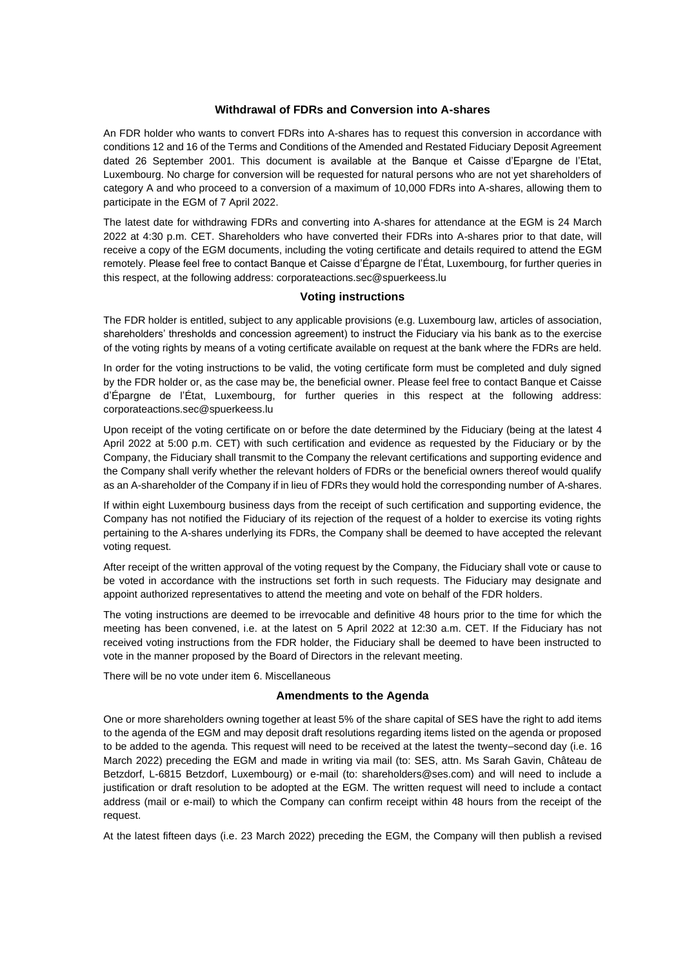### **Withdrawal of FDRs and Conversion into A-shares**

An FDR holder who wants to convert FDRs into A-shares has to request this conversion in accordance with conditions 12 and 16 of the Terms and Conditions of the Amended and Restated Fiduciary Deposit Agreement dated 26 September 2001. This document is available at the Banque et Caisse d'Epargne de l'Etat, Luxembourg. No charge for conversion will be requested for natural persons who are not yet shareholders of category A and who proceed to a conversion of a maximum of 10,000 FDRs into A-shares, allowing them to participate in the EGM of 7 April 2022.

The latest date for withdrawing FDRs and converting into A-shares for attendance at the EGM is 24 March 2022 at 4:30 p.m. CET. Shareholders who have converted their FDRs into A-shares prior to that date, will receive a copy of the EGM documents, including the voting certificate and details required to attend the EGM remotely. Please feel free to contact Banque et Caisse d'Épargne de l'État, Luxembourg, for further queries in this respect, at the following address[: corporateactions.sec@spuerkeess.lu](mailto:corporateactions.sec@spuerkeess.lu)

### **Voting instructions**

The FDR holder is entitled, subject to any applicable provisions (e.g. Luxembourg law, articles of association, shareholders' thresholds and concession agreement) to instruct the Fiduciary via his bank as to the exercise of the voting rights by means of a voting certificate available on request at the bank where the FDRs are held.

In order for the voting instructions to be valid, the voting certificate form must be completed and duly signed by the FDR holder or, as the case may be, the beneficial owner. Please feel free to contact Banque et Caisse d'Épargne de l'État, Luxembourg, for further queries in this respect at the following address: [corporateactions.sec@spuerkeess.lu](mailto:corporateactions.sec@spuerkeess.lu)

Upon receipt of the voting certificate on or before the date determined by the Fiduciary (being at the latest 4 April 2022 at 5:00 p.m. CET) with such certification and evidence as requested by the Fiduciary or by the Company, the Fiduciary shall transmit to the Company the relevant certifications and supporting evidence and the Company shall verify whether the relevant holders of FDRs or the beneficial owners thereof would qualify as an A-shareholder of the Company if in lieu of FDRs they would hold the corresponding number of A-shares.

If within eight Luxembourg business days from the receipt of such certification and supporting evidence, the Company has not notified the Fiduciary of its rejection of the request of a holder to exercise its voting rights pertaining to the A-shares underlying its FDRs, the Company shall be deemed to have accepted the relevant voting request.

After receipt of the written approval of the voting request by the Company, the Fiduciary shall vote or cause to be voted in accordance with the instructions set forth in such requests. The Fiduciary may designate and appoint authorized representatives to attend the meeting and vote on behalf of the FDR holders.

The voting instructions are deemed to be irrevocable and definitive 48 hours prior to the time for which the meeting has been convened, i.e. at the latest on 5 April 2022 at 12:30 a.m. CET. If the Fiduciary has not received voting instructions from the FDR holder, the Fiduciary shall be deemed to have been instructed to vote in the manner proposed by the Board of Directors in the relevant meeting.

There will be no vote under item 6. Miscellaneous

#### **Amendments to the Agenda**

One or more shareholders owning together at least 5% of the share capital of SES have the right to add items to the agenda of the EGM and may deposit draft resolutions regarding items listed on the agenda or proposed to be added to the agenda. This request will need to be received at the latest the twenty–second day (i.e. 16 March 2022) preceding the EGM and made in writing via mail (to: SES, attn. Ms Sarah Gavin, Château de Betzdorf, L-6815 Betzdorf, Luxembourg) or e-mail (to: shareholders@ses.com) and will need to include a justification or draft resolution to be adopted at the EGM. The written request will need to include a contact address (mail or e-mail) to which the Company can confirm receipt within 48 hours from the receipt of the request.

At the latest fifteen days (i.e. 23 March 2022) preceding the EGM, the Company will then publish a revised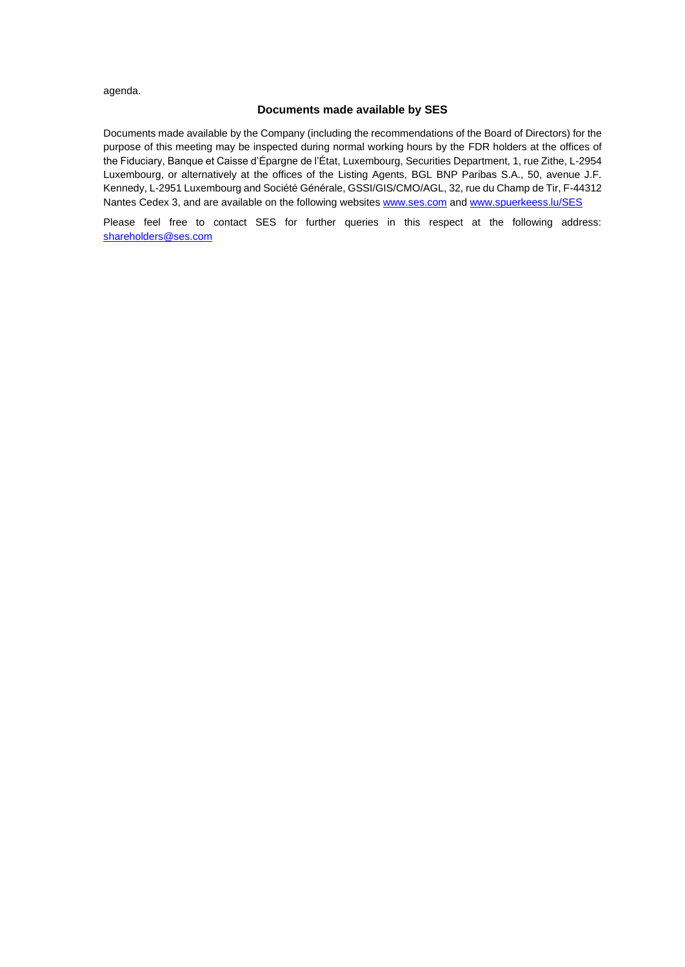agenda.

### **Documents made available by SES**

Documents made available by the Company (including the recommendations of the Board of Directors) for the purpose of this meeting may be inspected during normal working hours by the FDR holders at the offices of the Fiduciary, Banque et Caisse d'Épargne de l'État, Luxembourg, Securities Department, 1, rue Zithe, L-2954 Luxembourg, or alternatively at the offices of the Listing Agents, BGL BNP Paribas S.A., 50, avenue J.F. Kennedy, L-2951 Luxembourg and Société Générale, GSSI/GIS/CMO/AGL, 32, rue du Champ de Tir, F-44312 Nantes Cedex 3, and are available on the following websites [www.ses.com](http://www.ses.com/) and [www.spuerkeess.lu/SES](http://www.spuerkeess.lu/SES)

Please feel free to contact SES for further queries in this respect at the following address: [shareholders@ses.com](mailto:shareholders@ses.com)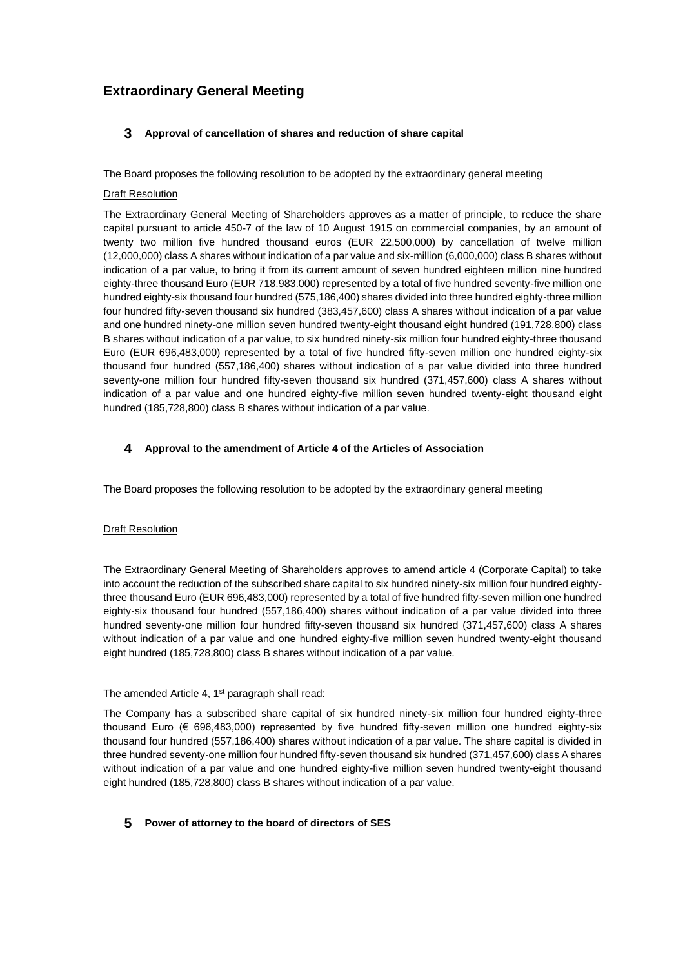# **Extraordinary General Meeting**

### **3 Approval of cancellation of shares and reduction of share capital**

The Board proposes the following resolution to be adopted by the extraordinary general meeting

### **Draft Resolution**

The Extraordinary General Meeting of Shareholders approves as a matter of principle, to reduce the share capital pursuant to article 450-7 of the law of 10 August 1915 on commercial companies, by an amount of twenty two million five hundred thousand euros (EUR 22,500,000) by cancellation of twelve million (12,000,000) class A shares without indication of a par value and six-million (6,000,000) class B shares without indication of a par value, to bring it from its current amount of seven hundred eighteen million nine hundred eighty-three thousand Euro (EUR 718.983.000) represented by a total of five hundred seventy-five million one hundred eighty-six thousand four hundred (575,186,400) shares divided into three hundred eighty-three million four hundred fifty-seven thousand six hundred (383,457,600) class A shares without indication of a par value and one hundred ninety-one million seven hundred twenty-eight thousand eight hundred (191,728,800) class B shares without indication of a par value, to six hundred ninety-six million four hundred eighty-three thousand Euro (EUR 696,483,000) represented by a total of five hundred fifty-seven million one hundred eighty-six thousand four hundred (557,186,400) shares without indication of a par value divided into three hundred seventy-one million four hundred fifty-seven thousand six hundred (371,457,600) class A shares without indication of a par value and one hundred eighty-five million seven hundred twenty-eight thousand eight hundred (185,728,800) class B shares without indication of a par value.

### **4 Approval to the amendment of Article 4 of the Articles of Association**

The Board proposes the following resolution to be adopted by the extraordinary general meeting

### **Draft Resolution**

The Extraordinary General Meeting of Shareholders approves to amend article 4 (Corporate Capital) to take into account the reduction of the subscribed share capital to six hundred ninety-six million four hundred eightythree thousand Euro (EUR 696,483,000) represented by a total of five hundred fifty-seven million one hundred eighty-six thousand four hundred (557,186,400) shares without indication of a par value divided into three hundred seventy-one million four hundred fifty-seven thousand six hundred (371,457,600) class A shares without indication of a par value and one hundred eighty-five million seven hundred twenty-eight thousand eight hundred (185,728,800) class B shares without indication of a par value.

#### The amended Article 4, 1<sup>st</sup> paragraph shall read:

The Company has a subscribed share capital of six hundred ninety-six million four hundred eighty-three thousand Euro (€ 696,483,000) represented by five hundred fifty-seven million one hundred eighty-six thousand four hundred (557,186,400) shares without indication of a par value. The share capital is divided in three hundred seventy-one million four hundred fifty-seven thousand six hundred (371,457,600) class A shares without indication of a par value and one hundred eighty-five million seven hundred twenty-eight thousand eight hundred (185,728,800) class B shares without indication of a par value.

### **5 Power of attorney to the board of directors of SES**